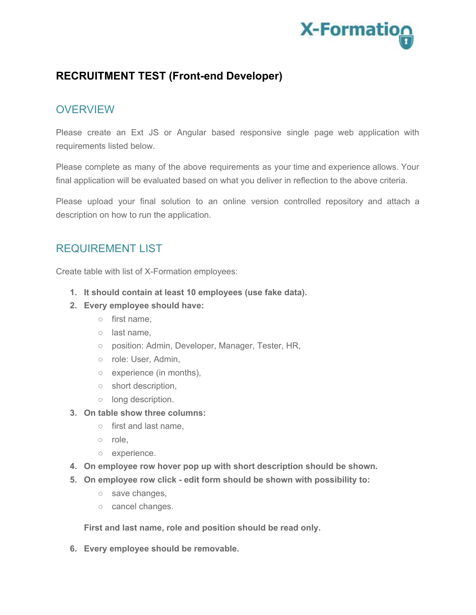

## **RECRUITMENT TEST (Front-end Developer)**

## **OVERVIEW**

Please create an Ext JS or Angular based responsive single page web application with requirements listed below.

Please complete as many of the above requirements as your time and experience allows. Your final application will be evaluated based on what you deliver in reflection to the above criteria.

Please upload your final solution to an online version controlled repository and attach a description on how to run the application.

## REQUIREMENT LIST

Create table with list of X-Formation employees:

- **1. It should contain at least 10 employees (use fake data).**
- **2. Every employee should have:**
	- first name,
	- last name,
	- o position: Admin, Developer, Manager, Tester, HR,
	- o role: User, Admin,
	- experience (in months),
	- short description,
	- long description.
- **3. On table show three columns:**
	- first and last name,
	- role,
	- experience.
- **4. On employee row hover pop up with short description should be shown.**
- **5. On employee row click - edit form should be shown with possibility to:**
	- o save changes,
	- cancel changes.

**First and last name, role and position should be read only.**

**6. Every employee should be removable.**